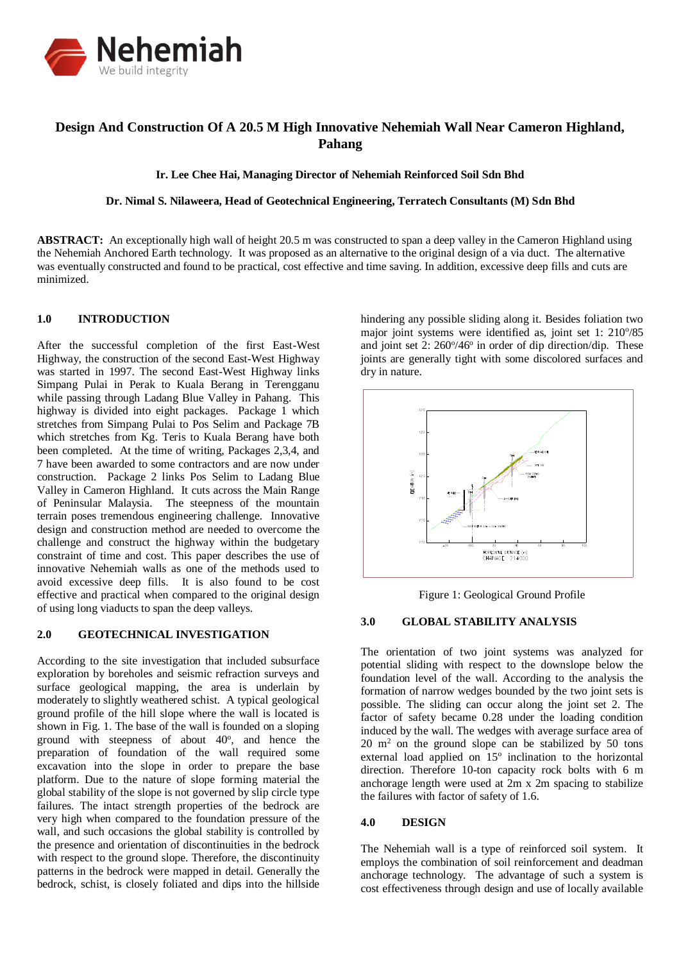

# **Design And Construction Of A 20.5 M High Innovative Nehemiah Wall Near Cameron Highland, Pahang**

#### **Ir. Lee Chee Hai, Managing Director of Nehemiah Reinforced Soil Sdn Bhd**

#### **Dr. Nimal S. Nilaweera, Head of Geotechnical Engineering, Terratech Consultants (M) Sdn Bhd**

**ABSTRACT:** An exceptionally high wall of height 20.5 m was constructed to span a deep valley in the Cameron Highland using the Nehemiah Anchored Earth technology. It was proposed as an alternative to the original design of a via duct. The alternative was eventually constructed and found to be practical, cost effective and time saving. In addition, excessive deep fills and cuts are minimized.

# **1.0 INTRODUCTION**

After the successful completion of the first East-West Highway, the construction of the second East-West Highway was started in 1997. The second East-West Highway links Simpang Pulai in Perak to Kuala Berang in Terengganu while passing through Ladang Blue Valley in Pahang. This highway is divided into eight packages. Package 1 which stretches from Simpang Pulai to Pos Selim and Package 7B which stretches from Kg. Teris to Kuala Berang have both been completed. At the time of writing, Packages 2,3,4, and 7 have been awarded to some contractors and are now under construction. Package 2 links Pos Selim to Ladang Blue Valley in Cameron Highland. It cuts across the Main Range of Peninsular Malaysia. The steepness of the mountain terrain poses tremendous engineering challenge. Innovative design and construction method are needed to overcome the challenge and construct the highway within the budgetary constraint of time and cost. This paper describes the use of innovative Nehemiah walls as one of the methods used to avoid excessive deep fills. It is also found to be cost effective and practical when compared to the original design of using long viaducts to span the deep valleys.

#### **2.0 GEOTECHNICAL INVESTIGATION**

According to the site investigation that included subsurface exploration by boreholes and seismic refraction surveys and surface geological mapping, the area is underlain by moderately to slightly weathered schist. A typical geological ground profile of the hill slope where the wall is located is shown in Fig. 1. The base of the wall is founded on a sloping ground with steepness of about  $40^\circ$ , and hence the preparation of foundation of the wall required some excavation into the slope in order to prepare the base platform. Due to the nature of slope forming material the global stability of the slope is not governed by slip circle type failures. The intact strength properties of the bedrock are very high when compared to the foundation pressure of the wall, and such occasions the global stability is controlled by the presence and orientation of discontinuities in the bedrock with respect to the ground slope. Therefore, the discontinuity patterns in the bedrock were mapped in detail. Generally the bedrock, schist, is closely foliated and dips into the hillside

hindering any possible sliding along it. Besides foliation two major joint systems were identified as, joint set 1: 210°/85 and joint set 2: 260% 46° in order of dip direction/dip. These joints are generally tight with some discolored surfaces and dry in nature.



Figure 1: Geological Ground Profile

#### **3.0 GLOBAL STABILITY ANALYSIS**

The orientation of two joint systems was analyzed for potential sliding with respect to the downslope below the foundation level of the wall. According to the analysis the formation of narrow wedges bounded by the two joint sets is possible. The sliding can occur along the joint set 2. The factor of safety became 0.28 under the loading condition induced by the wall. The wedges with average surface area of  $20 \text{ m}^2$  on the ground slope can be stabilized by 50 tons external load applied on 15° inclination to the horizontal direction. Therefore 10-ton capacity rock bolts with 6 m anchorage length were used at 2m x 2m spacing to stabilize the failures with factor of safety of 1.6.

## **4.0 DESIGN**

The Nehemiah wall is a type of reinforced soil system. It employs the combination of soil reinforcement and deadman anchorage technology. The advantage of such a system is cost effectiveness through design and use of locally available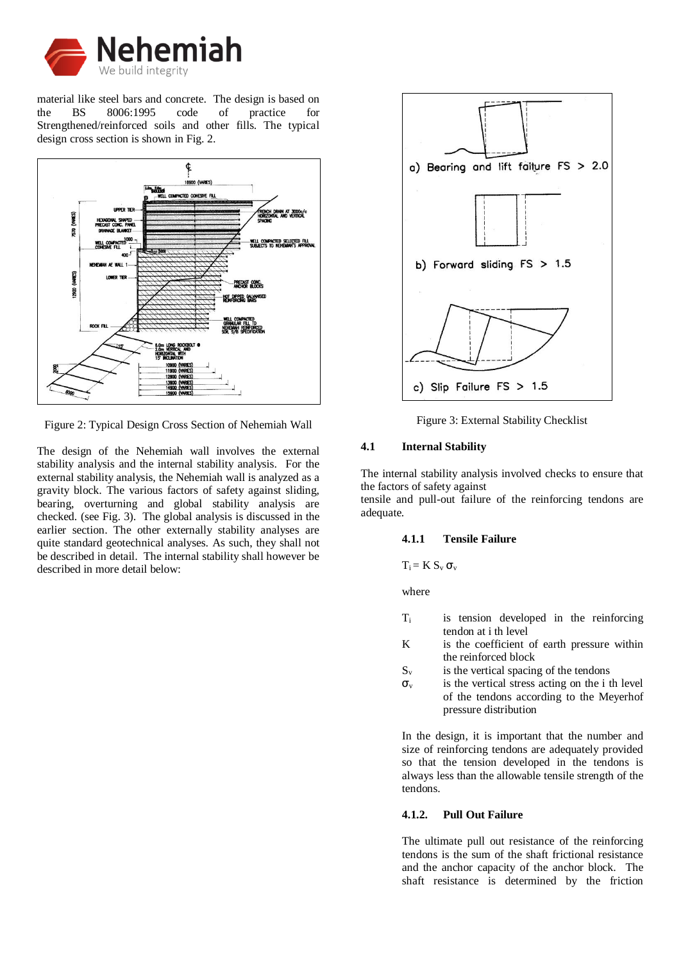

material like steel bars and concrete. The design is based on the BS 8006:1995 code of practice for Strengthened/reinforced soils and other fills. The typical design cross section is shown in Fig. 2.



Figure 2: Typical Design Cross Section of Nehemiah Wall

The design of the Nehemiah wall involves the external stability analysis and the internal stability analysis. For the external stability analysis, the Nehemiah wall is analyzed as a gravity block. The various factors of safety against sliding, bearing, overturning and global stability analysis are checked. (see Fig. 3). The global analysis is discussed in the earlier section. The other externally stability analyses are quite standard geotechnical analyses. As such, they shall not be described in detail. The internal stability shall however be described in more detail below:



Figure 3: External Stability Checklist

## **4.1 Internal Stability**

The internal stability analysis involved checks to ensure that the factors of safety against

tensile and pull-out failure of the reinforcing tendons are adequate.

### **4.1.1 Tensile Failure**

 $T_i = K S_v \sigma_v$ 

where

- T<sup>i</sup> is tension developed in the reinforcing tendon at i th level
- K is the coefficient of earth pressure within the reinforced block
- $S_v$  is the vertical spacing of the tendons
- $\sigma_{v}$  is the vertical stress acting on the i th level of the tendons according to the Meyerhof pressure distribution

In the design, it is important that the number and size of reinforcing tendons are adequately provided so that the tension developed in the tendons is always less than the allowable tensile strength of the tendons.

# **4.1.2. Pull Out Failure**

The ultimate pull out resistance of the reinforcing tendons is the sum of the shaft frictional resistance and the anchor capacity of the anchor block. The shaft resistance is determined by the friction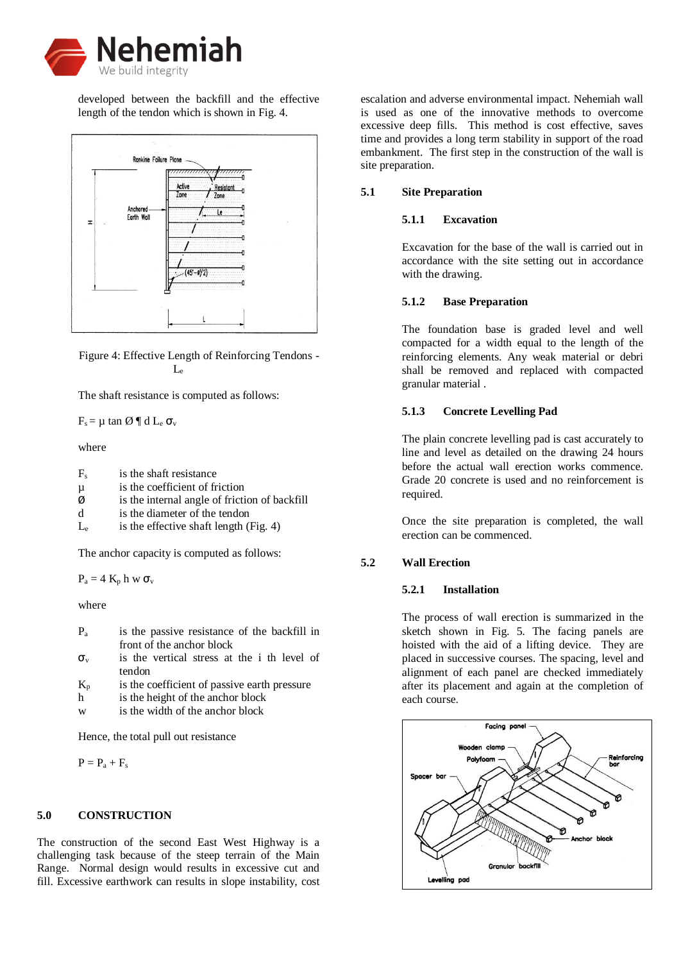

developed between the backfill and the effective length of the tendon which is shown in Fig. 4.



Figure 4: Effective Length of Reinforcing Tendons - Le

The shaft resistance is computed as follows:

 $F_s = \mu \tan \emptyset \P d L_e \sigma_v$ 

where

| $F_{\rm c}$ | is the shaft resistance                       |
|-------------|-----------------------------------------------|
| μ           | is the coefficient of friction                |
| Ø           | is the internal angle of friction of backfill |
| d           | is the diameter of the tendon                 |
|             |                                               |

 $L_e$  is the effective shaft length (Fig. 4)

The anchor capacity is computed as follows:

 $P_a = 4 K_p h w \sigma_v$ 

where

| $P_{a}$ | is the passive resistance of the backfill in |
|---------|----------------------------------------------|
|         | front of the anchor block                    |
|         |                                              |

- $\sigma_{v}$  is the vertical stress at the i th level of tendon
- $K_p$  is the coefficient of passive earth pressure
- h is the height of the anchor block
- w is the width of the anchor block

Hence, the total pull out resistance

 $P = P_a + F_s$ 

## **5.0 CONSTRUCTION**

The construction of the second East West Highway is a challenging task because of the steep terrain of the Main Range. Normal design would results in excessive cut and fill. Excessive earthwork can results in slope instability, cost escalation and adverse environmental impact. Nehemiah wall is used as one of the innovative methods to overcome excessive deep fills. This method is cost effective, saves time and provides a long term stability in support of the road embankment. The first step in the construction of the wall is site preparation.

# **5.1 Site Preparation**

# **5.1.1 Excavation**

Excavation for the base of the wall is carried out in accordance with the site setting out in accordance with the drawing.

#### **5.1.2 Base Preparation**

The foundation base is graded level and well compacted for a width equal to the length of the reinforcing elements. Any weak material or debri shall be removed and replaced with compacted granular material .

# **5.1.3 Concrete Levelling Pad**

The plain concrete levelling pad is cast accurately to line and level as detailed on the drawing 24 hours before the actual wall erection works commence. Grade 20 concrete is used and no reinforcement is required.

Once the site preparation is completed, the wall erection can be commenced.

## **5.2 Wall Erection**

## **5.2.1 Installation**

The process of wall erection is summarized in the sketch shown in Fig. 5. The facing panels are hoisted with the aid of a lifting device. They are placed in successive courses. The spacing, level and alignment of each panel are checked immediately after its placement and again at the completion of each course.